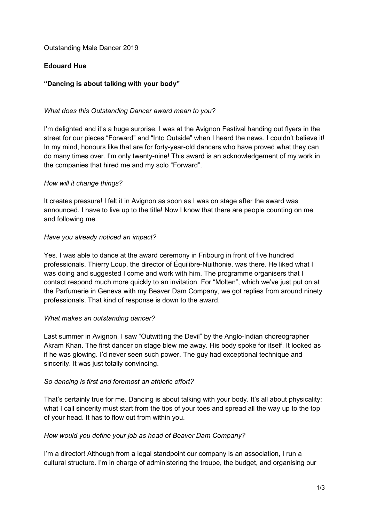Outstanding Male Dancer 2019

## **Edouard Hue**

# **"Dancing is about talking with your body"**

## *What does this Outstanding Dancer award mean to you?*

I'm delighted and it's a huge surprise. I was at the Avignon Festival handing out flyers in the street for our pieces "Forward" and "Into Outside" when I heard the news. I couldn't believe it! In my mind, honours like that are for forty-year-old dancers who have proved what they can do many times over. I'm only twenty-nine! This award is an acknowledgement of my work in the companies that hired me and my solo "Forward".

## *How will it change things?*

It creates pressure! I felt it in Avignon as soon as I was on stage after the award was announced. I have to live up to the title! Now I know that there are people counting on me and following me.

## *Have you already noticed an impact?*

Yes. I was able to dance at the award ceremony in Fribourg in front of five hundred professionals. Thierry Loup, the director of Équilibre-Nuithonie, was there. He liked what I was doing and suggested I come and work with him. The programme organisers that I contact respond much more quickly to an invitation. For "Molten", which we've just put on at the Parfumerie in Geneva with my Beaver Dam Company, we got replies from around ninety professionals. That kind of response is down to the award.

#### *What makes an outstanding dancer?*

Last summer in Avignon, I saw "Outwitting the Devil" by the Anglo-Indian choreographer Akram Khan. The first dancer on stage blew me away. His body spoke for itself. It looked as if he was glowing. I'd never seen such power. The guy had exceptional technique and sincerity. It was just totally convincing.

## *So dancing is first and foremost an athletic effort?*

That's certainly true for me. Dancing is about talking with your body. It's all about physicality: what I call sincerity must start from the tips of your toes and spread all the way up to the top of your head. It has to flow out from within you.

#### *How would you define your job as head of Beaver Dam Company?*

I'm a director! Although from a legal standpoint our company is an association, I run a cultural structure. I'm in charge of administering the troupe, the budget, and organising our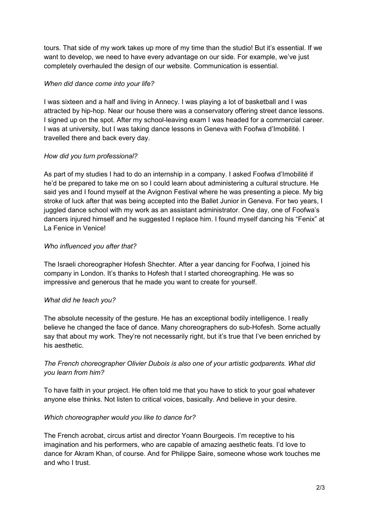tours. That side of my work takes up more of my time than the studio! But it's essential. If we want to develop, we need to have every advantage on our side. For example, we've just completely overhauled the design of our website. Communication is essential.

## *When did dance come into your life?*

I was sixteen and a half and living in Annecy. I was playing a lot of basketball and I was attracted by hip-hop. Near our house there was a conservatory offering street dance lessons. I signed up on the spot. After my school-leaving exam I was headed for a commercial career. I was at university, but I was taking dance lessons in Geneva with Foofwa d'Imobilité. I travelled there and back every day.

## *How did you turn professional?*

As part of my studies I had to do an internship in a company. I asked Foofwa d'Imobilité if he'd be prepared to take me on so I could learn about administering a cultural structure. He said yes and I found myself at the Avignon Festival where he was presenting a piece. My big stroke of luck after that was being accepted into the Ballet Junior in Geneva. For two years, I juggled dance school with my work as an assistant administrator. One day, one of Foofwa's dancers injured himself and he suggested I replace him. I found myself dancing his "Fenix" at La Fenice in Venice!

## *Who influenced you after that?*

The Israeli choreographer Hofesh Shechter. After a year dancing for Foofwa, I joined his company in London. It's thanks to Hofesh that I started choreographing. He was so impressive and generous that he made you want to create for yourself.

#### *What did he teach you?*

The absolute necessity of the gesture. He has an exceptional bodily intelligence. I really believe he changed the face of dance. Many choreographers do sub-Hofesh. Some actually say that about my work. They're not necessarily right, but it's true that I've been enriched by his aesthetic.

## *The French choreographer Olivier Dubois is also one of your artistic godparents. What did you learn from him?*

To have faith in your project. He often told me that you have to stick to your goal whatever anyone else thinks. Not listen to critical voices, basically. And believe in your desire.

#### *Which choreographer would you like to dance for?*

The French acrobat, circus artist and director Yoann Bourgeois. I'm receptive to his imagination and his performers, who are capable of amazing aesthetic feats. I'd love to dance for Akram Khan, of course. And for Philippe Saire, someone whose work touches me and who I trust.